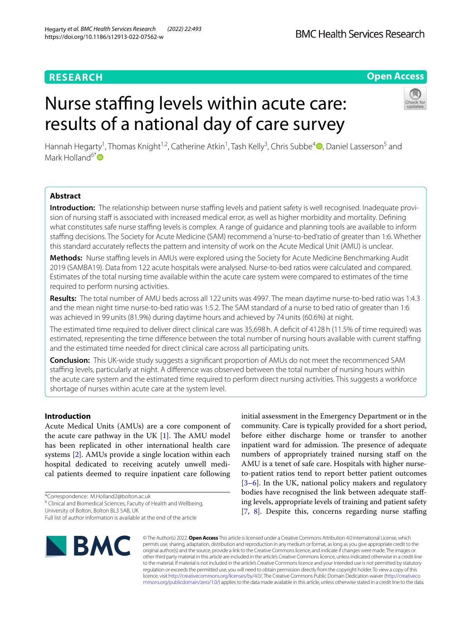# **RESEARCH**

# **Open Access**

# Nurse staffing levels within acute care: results of a national day of care survey



Hannah Hegarty<sup>1</sup>[,](https://orcid.org/0000-0002-3110-8888) Thomas Knight<sup>1,2</sup>, Catherine Atkin<sup>1</sup>, Tash Kelly<sup>3</sup>, Chris Subbe<sup>4</sup> D, Daniel Lasserson<sup>5</sup> and Mark Holland<sup>6[\\*](https://orcid.org/0000-0001-8336-5336)</sup>

# **Abstract**

**Introduction:** The relationship between nurse staffing levels and patient safety is well recognised. Inadequate provision of nursing staff is associated with increased medical error, as well as higher morbidity and mortality. Defining what constitutes safe nurse staffing levels is complex. A range of guidance and planning tools are available to inform stafng decisions. The Society for Acute Medicine (SAM) recommend a 'nurse-to-bed'ratio of greater than 1:6. Whether this standard accurately refects the pattern and intensity of work on the Acute Medical Unit (AMU) is unclear.

**Methods:** Nurse staffing levels in AMUs were explored using the Society for Acute Medicine Benchmarking Audit 2019 (SAMBA19). Data from 122 acute hospitals were analysed. Nurse-to-bed ratios were calculated and compared. Estimates of the total nursing time available within the acute care system were compared to estimates of the time required to perform nursing activities.

Results: The total number of AMU beds across all 122 units was 4997. The mean daytime nurse-to-bed ratio was 1:4.3 and the mean night time nurse-to-bed ratio was 1:5.2. The SAM standard of a nurse to bed ratio of greater than 1:6 was achieved in 99units (81.9%) during daytime hours and achieved by 74units (60.6%) at night.

The estimated time required to deliver direct clinical care was 35,698h. A defcit of 4128h (11.5% of time required) was estimated, representing the time diference between the total number of nursing hours available with current stafng and the estimated time needed for direct clinical care across all participating units.

**Conclusion:** This UK-wide study suggests a signifcant proportion of AMUs do not meet the recommenced SAM stafng levels, particularly at night. A diference was observed between the total number of nursing hours within the acute care system and the estimated time required to perform direct nursing activities. This suggests a workforce shortage of nurses within acute care at the system level.

# **Introduction**

Acute Medical Units (AMUs) are a core component of the acute care pathway in the UK  $[1]$  $[1]$ . The AMU model has been replicated in other international health care systems [[2\]](#page-8-1). AMUs provide a single location within each hospital dedicated to receiving acutely unwell medical patients deemed to require inpatient care following

\*Correspondence: M.Holland2@bolton.ac.uk

University of Bolton, Bolton BL3 5AB, UK

Full list of author information is available at the end of the article



initial assessment in the Emergency Department or in the community. Care is typically provided for a short period, before either discharge home or transfer to another inpatient ward for admission. The presence of adequate numbers of appropriately trained nursing staff on the AMU is a tenet of safe care. Hospitals with higher nurseto-patient ratios tend to report better patient outcomes [[3–](#page-8-2)[6\]](#page-8-3). In the UK, national policy makers and regulatory bodies have recognised the link between adequate stafing levels, appropriate levels of training and patient safety [[7,](#page-8-4) [8](#page-8-5)]. Despite this, concerns regarding nurse staffing

© The Author(s) 2022. **Open Access** This article is licensed under a Creative Commons Attribution 4.0 International License, which permits use, sharing, adaptation, distribution and reproduction in any medium or format, as long as you give appropriate credit to the original author(s) and the source, provide a link to the Creative Commons licence, and indicate if changes were made. The images or other third party material in this article are included in the article's Creative Commons licence, unless indicated otherwise in a credit line to the material. If material is not included in the article's Creative Commons licence and your intended use is not permitted by statutory regulation or exceeds the permitted use, you will need to obtain permission directly from the copyright holder. To view a copy of this licence, visit [http://creativecommons.org/licenses/by/4.0/.](http://creativecommons.org/licenses/by/4.0/) The Creative Commons Public Domain Dedication waiver ([http://creativeco](http://creativecommons.org/publicdomain/zero/1.0/) [mmons.org/publicdomain/zero/1.0/](http://creativecommons.org/publicdomain/zero/1.0/)) applies to the data made available in this article, unless otherwise stated in a credit line to the data.

<sup>&</sup>lt;sup>6</sup> Clinical and Biomedical Sciences, Faculty of Health and Wellbeing,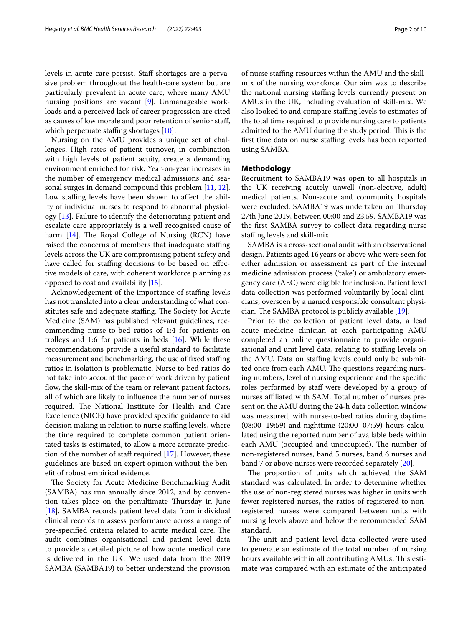levels in acute care persist. Staff shortages are a pervasive problem throughout the health-care system but are particularly prevalent in acute care, where many AMU nursing positions are vacant [\[9\]](#page-8-6). Unmanageable workloads and a perceived lack of career progression are cited as causes of low morale and poor retention of senior staf, which perpetuate staffing shortages  $[10]$  $[10]$ .

Nursing on the AMU provides a unique set of challenges. High rates of patient turnover, in combination with high levels of patient acuity, create a demanding environment enriched for risk. Year-on-year increases in the number of emergency medical admissions and seasonal surges in demand compound this problem [[11](#page-9-0), [12](#page-9-1)]. Low staffing levels have been shown to affect the ability of individual nurses to respond to abnormal physiology [\[13](#page-9-2)]. Failure to identify the deteriorating patient and escalate care appropriately is a well recognised cause of harm  $[14]$  $[14]$  $[14]$ . The Royal College of Nursing  $(RCN)$  have raised the concerns of members that inadequate staffing levels across the UK are compromising patient safety and have called for staffing decisions to be based on effective models of care, with coherent workforce planning as opposed to cost and availability [\[15\]](#page-9-4).

Acknowledgement of the importance of staffing levels has not translated into a clear understanding of what constitutes safe and adequate staffing. The Society for Acute Medicine (SAM) has published relevant guidelines, recommending nurse-to-bed ratios of 1:4 for patients on trolleys and 1:6 for patients in beds [[16\]](#page-9-5). While these recommendations provide a useful standard to facilitate measurement and benchmarking, the use of fixed staffing ratios in isolation is problematic. Nurse to bed ratios do not take into account the pace of work driven by patient flow, the skill-mix of the team or relevant patient factors, all of which are likely to infuence the number of nurses required. The National Institute for Health and Care Excellence (NICE) have provided specifc guidance to aid decision making in relation to nurse stafng levels, where the time required to complete common patient orientated tasks is estimated, to allow a more accurate prediction of the number of staff required  $[17]$  $[17]$ . However, these guidelines are based on expert opinion without the beneft of robust empirical evidence.

The Society for Acute Medicine Benchmarking Audit (SAMBA) has run annually since 2012, and by convention takes place on the penultimate Thursday in June [[18\]](#page-9-7). SAMBA records patient level data from individual clinical records to assess performance across a range of pre-specified criteria related to acute medical care. The audit combines organisational and patient level data to provide a detailed picture of how acute medical care is delivered in the UK. We used data from the 2019 SAMBA (SAMBA19) to better understand the provision of nurse stafng resources within the AMU and the skillmix of the nursing workforce. Our aim was to describe the national nursing staffing levels currently present on AMUs in the UK, including evaluation of skill-mix. We also looked to and compare staffing levels to estimates of the total time required to provide nursing care to patients admitted to the AMU during the study period. This is the first time data on nurse staffing levels has been reported using SAMBA.

# **Methodology**

Recruitment to SAMBA19 was open to all hospitals in the UK receiving acutely unwell (non-elective, adult) medical patients. Non-acute and community hospitals were excluded. SAMBA19 was undertaken on Thursday 27th June 2019, between 00:00 and 23:59. SAMBA19 was the frst SAMBA survey to collect data regarding nurse stafng levels and skill-mix.

SAMBA is a cross-sectional audit with an observational design. Patients aged 16years or above who were seen for either admission or assessment as part of the internal medicine admission process ('take') or ambulatory emergency care (AEC) were eligible for inclusion. Patient level data collection was performed voluntarily by local clinicians, overseen by a named responsible consultant physician. The SAMBA protocol is publicly available  $[19]$  $[19]$ .

Prior to the collection of patient level data, a lead acute medicine clinician at each participating AMU completed an online questionnaire to provide organisational and unit level data, relating to staffing levels on the AMU. Data on staffing levels could only be submitted once from each AMU. The questions regarding nursing numbers, level of nursing experience and the specifc roles performed by staff were developed by a group of nurses afliated with SAM. Total number of nurses present on the AMU during the 24-h data collection window was measured, with nurse-to-bed ratios during daytime (08:00–19:59) and nighttime (20:00–07:59) hours calculated using the reported number of available beds within each AMU (occupied and unoccupied). The number of non-registered nurses, band 5 nurses, band 6 nurses and band 7 or above nurses were recorded separately [\[20\]](#page-9-9).

The proportion of units which achieved the SAM standard was calculated. In order to determine whether the use of non-registered nurses was higher in units with fewer registered nurses, the ratios of registered to nonregistered nurses were compared between units with nursing levels above and below the recommended SAM standard.

The unit and patient level data collected were used to generate an estimate of the total number of nursing hours available within all contributing AMUs. This estimate was compared with an estimate of the anticipated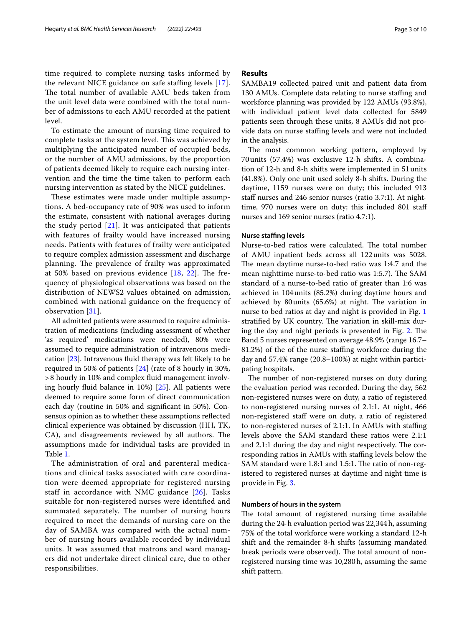time required to complete nursing tasks informed by the relevant NICE guidance on safe staffing levels [[17\]](#page-9-6). The total number of available AMU beds taken from the unit level data were combined with the total number of admissions to each AMU recorded at the patient level.

To estimate the amount of nursing time required to complete tasks at the system level. This was achieved by multiplying the anticipated number of occupied beds, or the number of AMU admissions, by the proportion of patients deemed likely to require each nursing intervention and the time the time taken to perform each nursing intervention as stated by the NICE guidelines.

These estimates were made under multiple assumptions. A bed-occupancy rate of 90% was used to inform the estimate, consistent with national averages during the study period [[21\]](#page-9-10). It was anticipated that patients with features of frailty would have increased nursing needs. Patients with features of frailty were anticipated to require complex admission assessment and discharge planning. The prevalence of frailty was approximated at 50% based on previous evidence  $[18, 22]$  $[18, 22]$  $[18, 22]$  $[18, 22]$ . The frequency of physiological observations was based on the distribution of NEWS2 values obtained on admission, combined with national guidance on the frequency of observation [\[31](#page-9-12)].

All admitted patients were assumed to require administration of medications (including assessment of whether 'as required' medications were needed), 80% were assumed to require administration of intravenous medication  $[23]$  $[23]$ . Intravenous fluid therapy was felt likely to be required in 50% of patients [[24\]](#page-9-14) (rate of 8 hourly in 30%, >8 hourly in 10% and complex fuid management involving hourly fuid balance in 10%) [[25\]](#page-9-15). All patients were deemed to require some form of direct communication each day (routine in 50% and signifcant in 50%). Consensus opinion as to whether these assumptions refected clinical experience was obtained by discussion (HH, TK, CA), and disagreements reviewed by all authors. The assumptions made for individual tasks are provided in Table [1](#page-3-0).

The administration of oral and parenteral medications and clinical tasks associated with care coordination were deemed appropriate for registered nursing staff in accordance with NMC guidance [[26](#page-9-16)]. Tasks suitable for non-registered nurses were identified and summated separately. The number of nursing hours required to meet the demands of nursing care on the day of SAMBA was compared with the actual number of nursing hours available recorded by individual units. It was assumed that matrons and ward managers did not undertake direct clinical care, due to other responsibilities.

# **Results**

SAMBA19 collected paired unit and patient data from 130 AMUs. Complete data relating to nurse staffing and workforce planning was provided by 122 AMUs (93.8%), with individual patient level data collected for 5849 patients seen through these units, 8 AMUs did not provide data on nurse stafng levels and were not included in the analysis.

The most common working pattern, employed by 70units (57.4%) was exclusive 12-h shifts. A combination of 12-h and 8-h shifts were implemented in 51units (41.8%). Only one unit used solely 8-h shifts. During the daytime, 1159 nurses were on duty; this included 913 staff nurses and 246 senior nurses (ratio 3.7:1). At nighttime, 970 nurses were on duty; this included 801 staf nurses and 169 senior nurses (ratio 4.7:1).

## **Nurse stafng levels**

Nurse-to-bed ratios were calculated. The total number of AMU inpatient beds across all 122units was 5028. The mean daytime nurse-to-bed ratio was 1:4.7 and the mean nighttime nurse-to-bed ratio was 1:5.7). The SAM standard of a nurse-to-bed ratio of greater than 1:6 was achieved in 104units (85.2%) during daytime hours and achieved by 80 units  $(65.6%)$  at night. The variation in nurse to bed ratios at day and night is provided in Fig. [1](#page-5-0) stratified by UK country. The variation in skill-mix dur-ing the day and night periods is presented in Fig. [2.](#page-6-0) The Band 5 nurses represented on average 48.9% (range 16.7– 81.2%) of the of the nurse stafng workforce during the day and 57.4% range (20.8–100%) at night within participating hospitals.

The number of non-registered nurses on duty during the evaluation period was recorded. During the day, 562 non-registered nurses were on duty, a ratio of registered to non-registered nursing nurses of 2.1:1. At night, 466 non-registered staff were on duty, a ratio of registered to non-registered nurses of 2.1:1. In AMUs with stafng levels above the SAM standard these ratios were 2.1:1 and 2.1:1 during the day and night respectively. The corresponding ratios in AMUs with staffing levels below the SAM standard were 1.8:1 and 1.5:1. The ratio of non-registered to registered nurses at daytime and night time is provide in Fig. [3.](#page-7-0)

## **Numbers of hours in the system**

The total amount of registered nursing time available during the 24-h evaluation period was 22,344h, assuming 75% of the total workforce were working a standard 12-h shift and the remainder 8-h shifts (assuming mandated break periods were observed). The total amount of nonregistered nursing time was 10,280h, assuming the same shift pattern.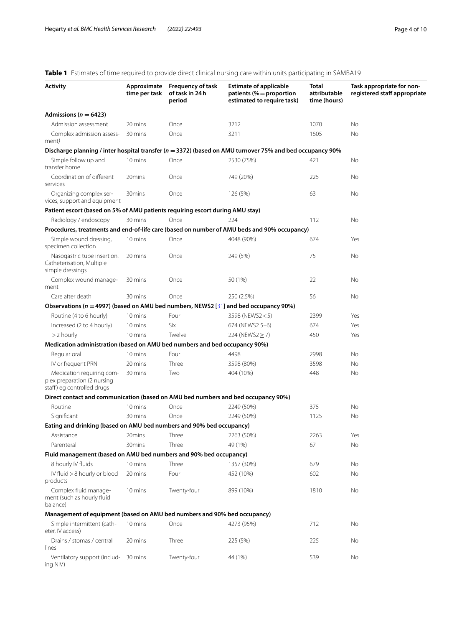#### **Activity Approximate time per task Frequency of task of task in 24h period Estimate of applicable patients (%**=**proportion estimated to require task) Total attributable time (hours) Task appropriate for nonregistered staf appropriate** Admissions ( $n = 6423$ ) Admission assessment 20 mins Once 3212 1070 No Complex admission assessment*)* 30 mins Once 3211 320 1605 No **Discharge planning / inter hospital transfer (***n* **=3372) (based on AMU turnover 75% and bed occupancy 90%** Simple follow up and transfer home 10 mins Once 2530 (75%) 421 No Coordination of diferent services 20mins Once 749 (20%) 225 No Organizing complex services, support and equipment 30mins Once 126 (5%) 63 No **Patient escort (based on 5% of AMU patients requiring escort during AMU stay)** Radiology / endoscopy 30 mins Once 224 224 112 No **Procedures, treatments and end-of-life care (based on number of AMU beds and 90% occupancy)** Simple wound dressing, specimen collection 10 mins Once 4048 (90%) 674 Yes Nasogastric tube insertion. Catheterisation, Multiple simple dressings 20 mins Once 249 (5%) 75 No Complex wound management 30 mins Once 50 (1%) 22 No Care after death 30 mins Once 250 (2.5%) 56 No **Observations (***n* **=4997) (based on AMU bed numbers, NEWS2 [**[31](#page-9-12)**] and bed occupancy 90%)** Routine (4 to 6 hourly) 10 mins Four 3598 (NEWS2 < 5) 2399 Yes Increased (2 to 4 hourly) 10 mins Six 674 (NEWS2 5–6) 674 674 >2 hourly 10 mins Twelve 224 (NEWS2 ≥ 7) 450 Yes **Medication administration (based on AMU bed numbers and bed occupancy 90%)** Regular oral 10 mins Four 4498 2998 No IV or frequent PRN 20 mins Three 3598 (80%) 3598 No Medication requiring complex preparation (2 nursing staff) eg controlled drugs 30 mins Two 404 (10%) 448 No **Direct contact and communication (based on AMU bed numbers and bed occupancy 90%)** Routine 10 mins Once 2249 (50%) 375 No Signifcant 30 mins Once 2249 (50%) 1125 No **Eating and drinking (based on AMU bed numbers and 90% bed occupancy)** Assistance 20mins Three 2263 (50%) 2263 2263 Yes Parenteral 30mins Three 49 (1%) 67 No **Fluid management (based on AMU bed numbers and 90% bed occupancy)** 8 hourly IV fuids 10 mins Three 1357 (30%) 679 No IV fuid >8 hourly or blood products 20 mins Four 452 (10%) 602 No Complex fluid management (such as hourly fuid balance) 10 mins Twenty-four 899 (10%) 1810 No **Management of equipment (based on AMU bed numbers and 90% bed occupancy)** Simple intermittent (catheter, IV access) 10 mins Once 4273 (95%) 712 No Drains / stomas / central lines 20 mins Three 225 (5%) 225 No Ventilatory support (including NIV) 30 mins Twenty-four 44 (1%) 539 No

# <span id="page-3-0"></span>**Table 1** Estimates of time required to provide direct clinical nursing care within units participating in SAMBA19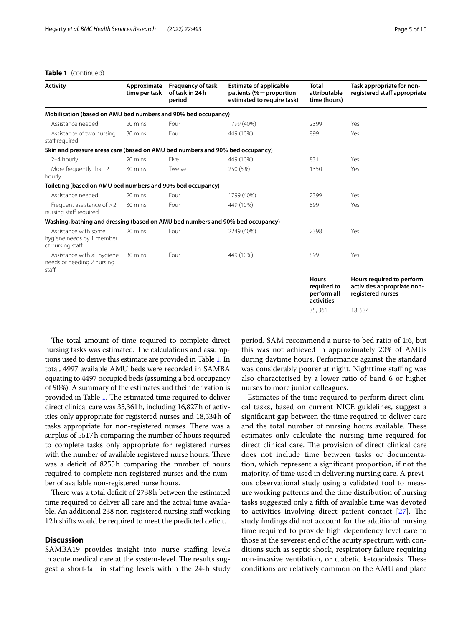# **Table 1** (continued)

| <b>Activity</b>                                                                | Approximate<br>time per task | <b>Frequency of task</b><br>of task in 24h<br>period | <b>Estimate of applicable</b><br>patients (% = proportion<br>estimated to require task) | <b>Total</b><br>attributable<br>time (hours)             | Task appropriate for non-<br>registered staff appropriate                     |
|--------------------------------------------------------------------------------|------------------------------|------------------------------------------------------|-----------------------------------------------------------------------------------------|----------------------------------------------------------|-------------------------------------------------------------------------------|
| Mobilisation (based on AMU bed numbers and 90% bed occupancy)                  |                              |                                                      |                                                                                         |                                                          |                                                                               |
| Assistance needed                                                              | 20 mins                      | Four                                                 | 1799 (40%)                                                                              | 2399                                                     | Yes                                                                           |
| Assistance of two nursing<br>staff required                                    | 30 mins                      | Four                                                 | 449 (10%)                                                                               | 899                                                      | Yes                                                                           |
| Skin and pressure areas care (based on AMU bed numbers and 90% bed occupancy)  |                              |                                                      |                                                                                         |                                                          |                                                                               |
| 2-4 hourly                                                                     | 20 mins                      | Five                                                 | 449 (10%)                                                                               | 831                                                      | Yes                                                                           |
| More frequently than 2<br>hourly                                               | 30 mins                      | Twelve                                               | 250 (5%)                                                                                | 1350                                                     | Yes                                                                           |
| Toileting (based on AMU bed numbers and 90% bed occupancy)                     |                              |                                                      |                                                                                         |                                                          |                                                                               |
| Assistance needed                                                              | 20 mins                      | Four                                                 | 1799 (40%)                                                                              | 2399                                                     | Yes                                                                           |
| Frequent assistance of $>2$<br>nursing staff required                          | 30 mins                      | Four                                                 | 449 (10%)                                                                               | 899                                                      | Yes                                                                           |
| Washing, bathing and dressing (based on AMU bed numbers and 90% bed occupancy) |                              |                                                      |                                                                                         |                                                          |                                                                               |
| Assistance with some<br>hygiene needs by 1 member<br>of nursing staff          | 20 mins                      | Four                                                 | 2249 (40%)                                                                              | 2398                                                     | Yes                                                                           |
| Assistance with all hygiene<br>needs or needing 2 nursing<br>staff             | 30 mins                      | Four                                                 | 449 (10%)                                                                               | 899                                                      | Yes                                                                           |
|                                                                                |                              |                                                      |                                                                                         | <b>Hours</b><br>required to<br>perform all<br>activities | Hours required to perform<br>activities appropriate non-<br>registered nurses |
|                                                                                |                              |                                                      |                                                                                         | 35, 361                                                  | 18,534                                                                        |

The total amount of time required to complete direct nursing tasks was estimated. The calculations and assumptions used to derive this estimate are provided in Table [1.](#page-3-0) In total, 4997 available AMU beds were recorded in SAMBA equating to 4497 occupied beds (assuming a bed occupancy of 90%). A summary of the estimates and their derivation is provided in Table [1](#page-3-0). The estimated time required to deliver direct clinical care was 35,361h, including 16,827h of activities only appropriate for registered nurses and 18,534h of tasks appropriate for non-registered nurses. There was a surplus of 5517h comparing the number of hours required to complete tasks only appropriate for registered nurses with the number of available registered nurse hours. There was a deficit of 8255h comparing the number of hours required to complete non-registered nurses and the number of available non-registered nurse hours.

There was a total deficit of 2738h between the estimated time required to deliver all care and the actual time available. An additional 238 non-registered nursing staf working 12h shifts would be required to meet the predicted deficit.

# **Discussion**

SAMBA19 provides insight into nurse staffing levels in acute medical care at the system-level. The results suggest a short-fall in staffing levels within the 24-h study period. SAM recommend a nurse to bed ratio of 1:6, but this was not achieved in approximately 20% of AMUs during daytime hours. Performance against the standard was considerably poorer at night. Nighttime staffing was also characterised by a lower ratio of band 6 or higher nurses to more junior colleagues.

Estimates of the time required to perform direct clinical tasks, based on current NICE guidelines, suggest a signifcant gap between the time required to deliver care and the total number of nursing hours available. These estimates only calculate the nursing time required for direct clinical care. The provision of direct clinical care does not include time between tasks or documentation, which represent a signifcant proportion, if not the majority, of time used in delivering nursing care. A previous observational study using a validated tool to measure working patterns and the time distribution of nursing tasks suggested only a ffth of available time was devoted to activities involving direct patient contact  $[27]$  $[27]$ . The study fndings did not account for the additional nursing time required to provide high dependency level care to those at the severest end of the acuity spectrum with conditions such as septic shock, respiratory failure requiring non-invasive ventilation, or diabetic ketoacidosis. These conditions are relatively common on the AMU and place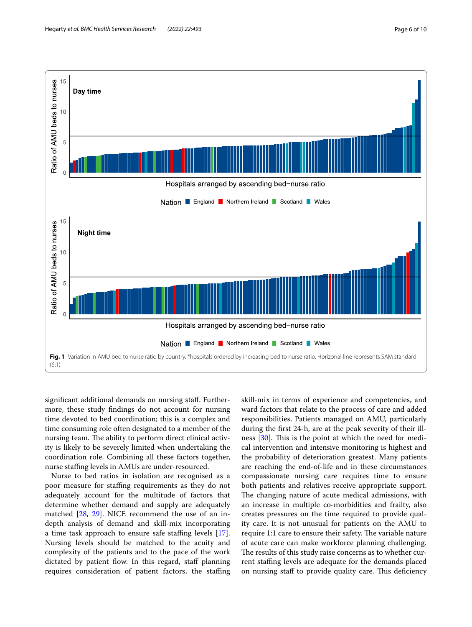

<span id="page-5-0"></span>signifcant additional demands on nursing staf. Furthermore, these study fndings do not account for nursing time devoted to bed coordination; this is a complex and time consuming role often designated to a member of the nursing team. The ability to perform direct clinical activity is likely to be severely limited when undertaking the coordination role. Combining all these factors together, nurse staffing levels in AMUs are under-resourced.

Nurse to bed ratios in isolation are recognised as a poor measure for stafng requirements as they do not adequately account for the multitude of factors that determine whether demand and supply are adequately matched [[28](#page-9-18), [29\]](#page-9-19). NICE recommend the use of an indepth analysis of demand and skill-mix incorporating a time task approach to ensure safe staffing levels [\[17](#page-9-6)]. Nursing levels should be matched to the acuity and complexity of the patients and to the pace of the work dictated by patient flow. In this regard, staff planning requires consideration of patient factors, the staffing skill-mix in terms of experience and competencies, and ward factors that relate to the process of care and added responsibilities. Patients managed on AMU, particularly during the frst 24-h, are at the peak severity of their illness  $[30]$  $[30]$ . This is the point at which the need for medical intervention and intensive monitoring is highest and the probability of deterioration greatest. Many patients are reaching the end-of-life and in these circumstances compassionate nursing care requires time to ensure both patients and relatives receive appropriate support. The changing nature of acute medical admissions, with an increase in multiple co-morbidities and frailty, also creates pressures on the time required to provide quality care. It is not unusual for patients on the AMU to require 1:1 care to ensure their safety. The variable nature of acute care can make workforce planning challenging. The results of this study raise concerns as to whether current stafng levels are adequate for the demands placed on nursing staff to provide quality care. This deficiency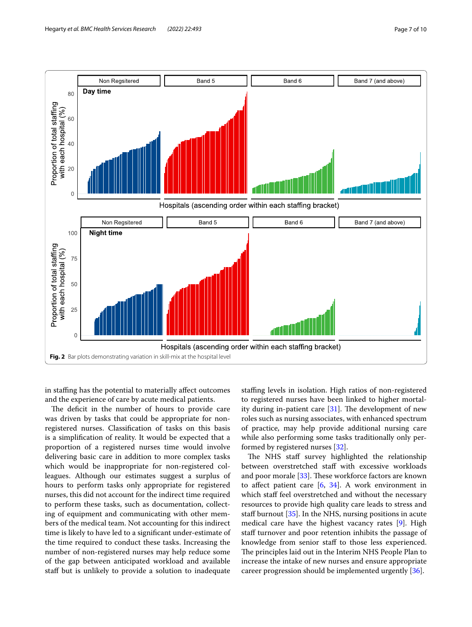

<span id="page-6-0"></span>in staffing has the potential to materially affect outcomes and the experience of care by acute medical patients.

The deficit in the number of hours to provide care was driven by tasks that could be appropriate for nonregistered nurses. Classifcation of tasks on this basis is a simplifcation of reality. It would be expected that a proportion of a registered nurses time would involve delivering basic care in addition to more complex tasks which would be inappropriate for non-registered colleagues. Although our estimates suggest a surplus of hours to perform tasks only appropriate for registered nurses, this did not account for the indirect time required to perform these tasks, such as documentation, collecting of equipment and communicating with other members of the medical team. Not accounting for this indirect time is likely to have led to a signifcant under-estimate of the time required to conduct these tasks. Increasing the number of non-registered nurses may help reduce some of the gap between anticipated workload and available staff but is unlikely to provide a solution to inadequate

stafng levels in isolation. High ratios of non-registered to registered nurses have been linked to higher mortality during in-patient care  $[31]$  $[31]$ . The development of new roles such as nursing associates, with enhanced spectrum of practice, may help provide additional nursing care while also performing some tasks traditionally only performed by registered nurses [\[32\]](#page-9-21).

The NHS staff survey highlighted the relationship between overstretched staff with excessive workloads and poor morale  $[33]$  $[33]$ . These workforce factors are known to affect patient care  $[6, 34]$  $[6, 34]$  $[6, 34]$  $[6, 34]$ . A work environment in which staff feel overstretched and without the necessary resources to provide high quality care leads to stress and staff burnout  $[35]$  $[35]$  $[35]$ . In the NHS, nursing positions in acute medical care have the highest vacancy rates [\[9](#page-8-6)]. High staff turnover and poor retention inhibits the passage of knowledge from senior staf to those less experienced. The principles laid out in the Interim NHS People Plan to increase the intake of new nurses and ensure appropriate career progression should be implemented urgently [\[36](#page-9-25)].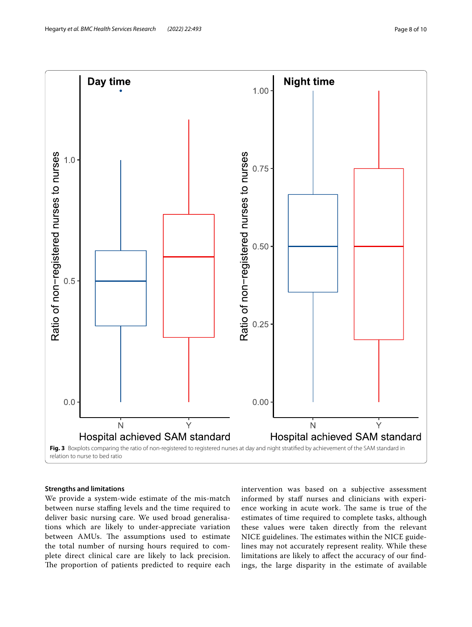

# <span id="page-7-0"></span>**Strengths and limitations**

We provide a system-wide estimate of the mis-match between nurse staffing levels and the time required to deliver basic nursing care. We used broad generalisations which are likely to under-appreciate variation between AMUs. The assumptions used to estimate the total number of nursing hours required to complete direct clinical care are likely to lack precision. The proportion of patients predicted to require each

intervention was based on a subjective assessment informed by staff nurses and clinicians with experience working in acute work. The same is true of the estimates of time required to complete tasks, although these values were taken directly from the relevant NICE guidelines. The estimates within the NICE guidelines may not accurately represent reality. While these limitations are likely to afect the accuracy of our fndings, the large disparity in the estimate of available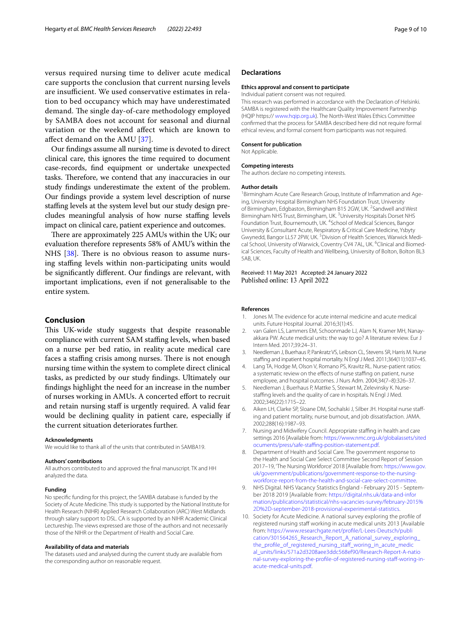versus required nursing time to deliver acute medical care supports the conclusion that current nursing levels are insufficient. We used conservative estimates in relation to bed occupancy which may have underestimated demand. The single day-of-care methodology employed by SAMBA does not account for seasonal and diurnal variation or the weekend afect which are known to afect demand on the AMU [[37\]](#page-9-26).

Our fndings assume all nursing time is devoted to direct clinical care, this ignores the time required to document case-records, fnd equipment or undertake unexpected tasks. Therefore, we contend that any inaccuracies in our study fndings underestimate the extent of the problem. Our fndings provide a system level description of nurse stafng levels at the system level but our study design precludes meaningful analysis of how nurse staffing levels impact on clinical care, patient experience and outcomes.

There are approximately 225 AMUs within the UK; our evaluation therefore represents 58% of AMU's within the NHS  $[38]$  $[38]$ . There is no obvious reason to assume nursing stafng levels within non-participating units would be signifcantly diferent. Our fndings are relevant, with important implications, even if not generalisable to the entire system.

# **Conclusion**

This UK-wide study suggests that despite reasonable compliance with current SAM staffing levels, when based on a nurse per bed ratio, in reality acute medical care faces a staffing crisis among nurses. There is not enough nursing time within the system to complete direct clinical tasks, as predicted by our study fndings. Ultimately our fndings highlight the need for an increase in the number of nurses working in AMUs. A concerted efort to recruit and retain nursing staff is urgently required. A valid fear would be declining quality in patient care, especially if the current situation deteriorates further.

#### **Acknowledgments**

We would like to thank all of the units that contributed in SAMBA19.

#### **Authors' contributions**

All authors contributed to and approved the fnal manuscript. TK and HH analyzed the data.

#### **Funding**

No specifc funding for this project, the SAMBA database is funded by the Society of Acute Medicine. This study is supported by the National Institute for Health Research (NIHR) Applied Research Collaboration (ARC) West Midlands through salary support to DSL. CA is supported by an NIHR Academic Clinical Lectureship. The views expressed are those of the authors and not necessarily those of the NIHR or the Department of Health and Social Care.

# **Availability of data and materials**

The datasets used and analysed during the current study are available from the corresponding author on reasonable request.

## **Declarations**

#### **Ethics approval and consent to participate**

Individual patient consent was not required.

This research was performed in accordance with the Declaration of Helsinki. SAMBA is registered with the Healthcare Quality Improvement Partnership (HQIP https:// [www.hqip.org.uk](http://www.hqip.org.uk/)). The North-West Wales Ethics Committee confirmed that the process for SAMBA described here did not require formal ethical review, and formal consent from participants was not required.

#### **Consent for publication**

Not Applicable.

#### **Competing interests**

The authors declare no competing interests.

#### **Author details**

<sup>1</sup> Birmingham Acute Care Research Group, Institute of Inflammation and Ageing, University Hospital Birmingham NHS Foundation Trust, University of Birmingham, Edgbaston, Birmingham B15 2GW, UK. <sup>2</sup>Sandwell and West Birmingham NHS Trust, Birmingham, UK.<sup>3</sup> University Hospitals Dorset NHS Foundation Trust, Bournemouth, UK. <sup>4</sup>School of Medical Sciences, Bangor University & Consultant Acute, Respiratory & Critical Care Medicine, Ysbyty Gwynedd, Bangor LL57 2PW, UK.<sup>5</sup> Division of Health Sciences, Warwick Medical School, University of Warwick, Coventry CV4 7AL, UK. <sup>6</sup>Clinical and Biomedical Sciences, Faculty of Health and Wellbeing, University of Bolton, Bolton BL3 5AB, UK.

#### Received: 11 May 2021 Accepted: 24 January 2022 Published online: 13 April 2022

#### **References**

- <span id="page-8-0"></span>1. Jones M. The evidence for acute internal medicine and acute medical units. Future Hospital Journal. 2016;3(1):45.
- <span id="page-8-1"></span>2. van Galen LS, Lammers EM, Schoonmade LJ, Alam N, Kramer MH, Nanavakkara PW. Acute medical units: the way to go? A literature review. Eur J Intern Med. 2017;39:24–31.
- <span id="page-8-2"></span>3. Needleman J, Buerhaus P, Pankratz VS, Leibson CL, Stevens SR, Harris M. Nurse stafng and inpatient hospital mortality. N Engl J Med. 2011;364(11):1037–45.
- 4. Lang TA, Hodge M, Olson V, Romano PS, Kravitz RL. Nurse-patient ratios: a systematic review on the effects of nurse staffing on patient, nurse employee, and hospital outcomes. J Nurs Adm. 2004;34(7–8):326–37.
- 5. Needleman J, Buerhaus P, Mattke S, Stewart M, Zelevinsky K. Nursestaffing levels and the quality of care in hospitals. N Engl J Med. 2002;346(22):1715–22.
- <span id="page-8-3"></span>6. Aiken LH, Clarke SP, Sloane DM, Sochalski J, Silber JH. Hospital nurse stafing and patient mortality, nurse burnout, and job dissatisfaction. JAMA. 2002;288(16):1987–93.
- <span id="page-8-4"></span>7. Nursing and Midwifery Council. Appropriate staffing in health and care settings 2016 [Available from: [https://www.nmc.org.uk/globalassets/sited](https://www.nmc.org.uk/globalassets/sitedocuments/press/safe-staffing-position-statement.pdf) [ocuments/press/safe-staffing-position-statement.pdf.](https://www.nmc.org.uk/globalassets/sitedocuments/press/safe-staffing-position-statement.pdf)
- <span id="page-8-5"></span>8. Department of Health and Social Care. The government response to the Health and Social Care Select Committee Second Report of Session 2017–19, 'The Nursing Workforce' 2018 [Available from: [https://www.gov.](https://www.gov.uk/government/publications/government-response-to-the-nursing-workforce-report-from-the-health-and-social-care-select-committee) [uk/government/publications/government-response-to-the-nursing](https://www.gov.uk/government/publications/government-response-to-the-nursing-workforce-report-from-the-health-and-social-care-select-committee)[workforce-report-from-the-health-and-social-care-select-committee](https://www.gov.uk/government/publications/government-response-to-the-nursing-workforce-report-from-the-health-and-social-care-select-committee).
- <span id="page-8-6"></span>9. NHS Digital. NHS Vacancy Statistics England - February 2015 - September 2018 2019 [Available from: [https://digital.nhs.uk/data-and-infor](https://digital.nhs.uk/data-and-information/publications/statistical/nhs-vacancies-survey/february-2015%2D%2D-september-2018-provisional-experimental-statistics) [mation/publications/statistical/nhs-vacancies-survey/february-2015%](https://digital.nhs.uk/data-and-information/publications/statistical/nhs-vacancies-survey/february-2015%2D%2D-september-2018-provisional-experimental-statistics) [2D%2D-september-2018-provisional-experimental-statistics](https://digital.nhs.uk/data-and-information/publications/statistical/nhs-vacancies-survey/february-2015%2D%2D-september-2018-provisional-experimental-statistics).
- <span id="page-8-7"></span>10. Society for Acute Medicine. A national survey exploring the profle of registered nursing staff working in acute medical units 2013 [Available from: [https://www.researchgate.net/profle/L-Lees-Deutsch/publi](https://www.researchgate.net/profile/L-Lees-Deutsch/publication/301564265_Research_Report_A_national_survey_exploring_the_profile_of_registered_nursing_staff_woring_in_acute_medical_units/links/571a2d3208aee3ddc568ef90/Research-Report-A-national-survey-exploring-the-profile-of-registered-nursing-staff-woring-in-acute-medical-units.pdf) [cation/301564265\\_Research\\_Report\\_A\\_national\\_survey\\_exploring\\_](https://www.researchgate.net/profile/L-Lees-Deutsch/publication/301564265_Research_Report_A_national_survey_exploring_the_profile_of_registered_nursing_staff_woring_in_acute_medical_units/links/571a2d3208aee3ddc568ef90/Research-Report-A-national-survey-exploring-the-profile-of-registered-nursing-staff-woring-in-acute-medical-units.pdf) [the\\_profle\\_of\\_registered\\_nursing\\_staf\\_woring\\_in\\_acute\\_medic](https://www.researchgate.net/profile/L-Lees-Deutsch/publication/301564265_Research_Report_A_national_survey_exploring_the_profile_of_registered_nursing_staff_woring_in_acute_medical_units/links/571a2d3208aee3ddc568ef90/Research-Report-A-national-survey-exploring-the-profile-of-registered-nursing-staff-woring-in-acute-medical-units.pdf) [al\\_units/links/571a2d3208aee3ddc568ef90/Research-Report-A-natio](https://www.researchgate.net/profile/L-Lees-Deutsch/publication/301564265_Research_Report_A_national_survey_exploring_the_profile_of_registered_nursing_staff_woring_in_acute_medical_units/links/571a2d3208aee3ddc568ef90/Research-Report-A-national-survey-exploring-the-profile-of-registered-nursing-staff-woring-in-acute-medical-units.pdf) nal-survey-exploring-the-profile-of-registered-nursing-staff-woring-in[acute-medical-units.pdf](https://www.researchgate.net/profile/L-Lees-Deutsch/publication/301564265_Research_Report_A_national_survey_exploring_the_profile_of_registered_nursing_staff_woring_in_acute_medical_units/links/571a2d3208aee3ddc568ef90/Research-Report-A-national-survey-exploring-the-profile-of-registered-nursing-staff-woring-in-acute-medical-units.pdf).